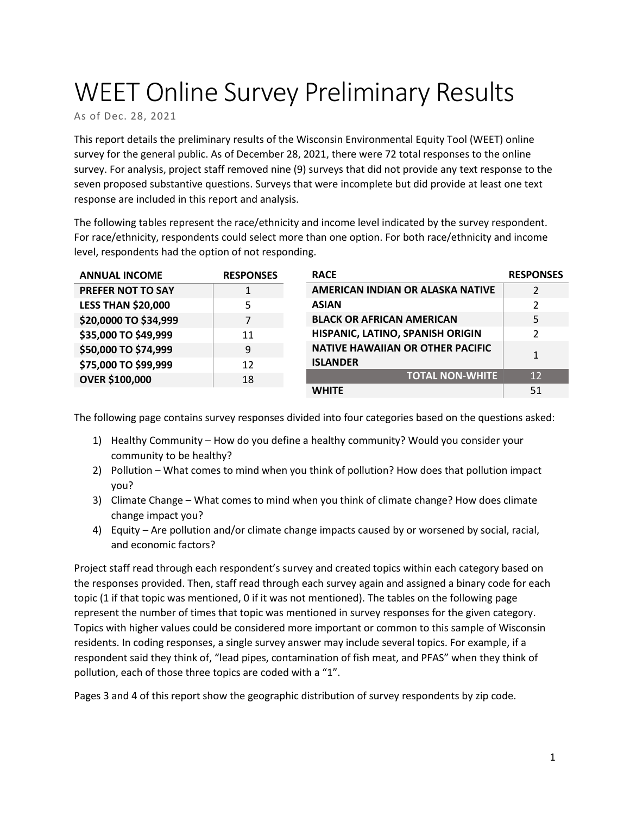# WEET Online Survey Preliminary Results

As of Dec. 28, 2021

This report details the preliminary results of the Wisconsin Environmental Equity Tool (WEET) online survey for the general public. As of December 28, 2021, there were 72 total responses to the online survey. For analysis, project staff removed nine (9) surveys that did not provide any text response to the seven proposed substantive questions. Surveys that were incomplete but did provide at least one text response are included in this report and analysis.

The following tables represent the race/ethnicity and income level indicated by the survey respondent. For race/ethnicity, respondents could select more than one option. For both race/ethnicity and income level, respondents had the option of not responding.

| <b>ANNUAL INCOME</b>      | <b>RESPONSES</b> | <b>RACE</b>                             | <b>RESPONSES</b> |
|---------------------------|------------------|-----------------------------------------|------------------|
| <b>PREFER NOT TO SAY</b>  | 1                | AMERICAN INDIAN OR ALASKA NATIVE        | 2                |
| <b>LESS THAN \$20,000</b> | 5                | <b>ASIAN</b>                            | $\overline{2}$   |
| \$20,0000 TO \$34,999     | 7                | <b>BLACK OR AFRICAN AMERICAN</b>        | 5                |
| \$35,000 TO \$49,999      | 11               | HISPANIC, LATINO, SPANISH ORIGIN        | $\mathfrak z$    |
| \$50,000 TO \$74,999      | 9                | <b>NATIVE HAWAIIAN OR OTHER PACIFIC</b> | 1                |
| \$75,000 TO \$99,999      | 12               | <b>ISLANDER</b>                         |                  |
| <b>OVER \$100,000</b>     | 18               | <b>TOTAL NON-WHITE</b>                  | 12               |
|                           |                  | <b>WHITE</b>                            | 51               |

The following page contains survey responses divided into four categories based on the questions asked:

- 1) Healthy Community How do you define a healthy community? Would you consider your community to be healthy?
- 2) Pollution What comes to mind when you think of pollution? How does that pollution impact you?
- 3) Climate Change What comes to mind when you think of climate change? How does climate change impact you?
- 4) Equity Are pollution and/or climate change impacts caused by or worsened by social, racial, and economic factors?

Project staff read through each respondent's survey and created topics within each category based on the responses provided. Then, staff read through each survey again and assigned a binary code for each topic (1 if that topic was mentioned, 0 if it was not mentioned). The tables on the following page represent the number of times that topic was mentioned in survey responses for the given category. Topics with higher values could be considered more important or common to this sample of Wisconsin residents. In coding responses, a single survey answer may include several topics. For example, if a respondent said they think of, "lead pipes, contamination of fish meat, and PFAS" when they think of pollution, each of those three topics are coded with a "1".

Pages 3 and 4 of this report show the geographic distribution of survey respondents by zip code.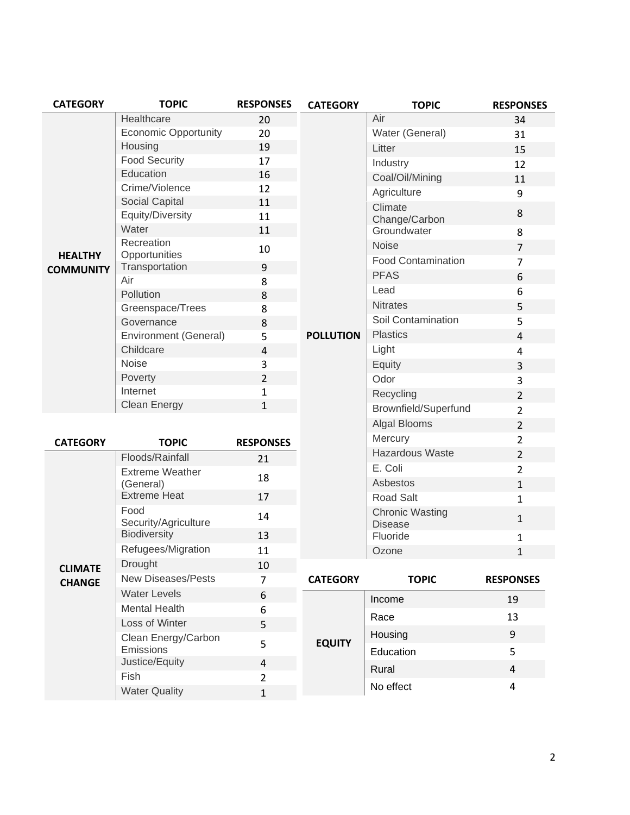| <b>CATEGORY</b>                    | <b>TOPIC</b>                 | <b>RESPONSES</b>        | <b>CATEGORY</b>  | <b>TOPIC</b>               | <b>RESPONSES</b> |
|------------------------------------|------------------------------|-------------------------|------------------|----------------------------|------------------|
| <b>HEALTHY</b><br><b>COMMUNITY</b> | Healthcare                   | 20                      |                  | Air                        | 34               |
|                                    | <b>Economic Opportunity</b>  | 20                      |                  | Water (General)            | 31               |
|                                    | Housing                      | 19                      |                  | Litter                     | 15               |
|                                    | <b>Food Security</b>         | 17                      |                  | Industry                   | 12               |
|                                    | Education                    | 16                      |                  | Coal/Oil/Mining            | 11               |
|                                    | Crime/Violence               | 12                      |                  | Agriculture                | 9                |
|                                    | Social Capital               | 11                      |                  | Climate                    | 8                |
|                                    | Equity/Diversity<br>Water    | 11                      |                  | Change/Carbon              |                  |
|                                    | Recreation                   | 11                      |                  | Groundwater                | 8                |
|                                    | Opportunities                | 10                      |                  | <b>Noise</b>               | $\overline{7}$   |
|                                    | Transportation               | $\boldsymbol{9}$        |                  | <b>Food Contamination</b>  | $\overline{7}$   |
|                                    | Air                          | 8                       |                  | <b>PFAS</b>                | 6                |
|                                    | Pollution                    | 8                       |                  | Lead                       | 6                |
|                                    | Greenspace/Trees             | 8                       |                  | <b>Nitrates</b>            | 5                |
|                                    | Governance                   | 8                       |                  | Soil Contamination         | 5                |
|                                    | Environment (General)        | 5                       | <b>POLLUTION</b> | <b>Plastics</b>            | 4                |
|                                    | Childcare                    | 4                       |                  | Light                      | 4                |
|                                    | Noise                        | 3                       |                  | Equity                     | 3                |
|                                    | Poverty                      | $\overline{2}$          |                  | Odor                       | 3                |
|                                    | Internet                     | 1                       |                  | Recycling                  | $\overline{2}$   |
|                                    | <b>Clean Energy</b>          | 1                       |                  | Brownfield/Superfund       | $\overline{2}$   |
|                                    |                              |                         |                  | Algal Blooms               | $\overline{2}$   |
| <b>CATEGORY</b>                    | <b>TOPIC</b>                 | <b>RESPONSES</b>        |                  | Mercury                    | $\overline{2}$   |
| <b>CLIMATE</b><br><b>CHANGE</b>    | Floods/Rainfall              | 21                      |                  | Hazardous Waste            | $\overline{2}$   |
|                                    | <b>Extreme Weather</b>       | 18                      |                  | E. Coli                    | $\overline{2}$   |
|                                    | (General)                    |                         |                  | Asbestos                   | $\mathbf{1}$     |
|                                    | <b>Extreme Heat</b>          | 17                      |                  | Road Salt                  | $\mathbf{1}$     |
|                                    | Food<br>Security/Agriculture | 14                      |                  | <b>Chronic Wasting</b>     | $\mathbf{1}$     |
|                                    | Biodiversity                 | 13                      |                  | <b>Disease</b><br>Fluoride | $\mathbf 1$      |
|                                    | Refugees/Migration           | 11                      |                  | Ozone                      | $\mathbf{1}$     |
|                                    | Drought                      | 10                      |                  |                            |                  |
|                                    | <b>New Diseases/Pests</b>    | $\overline{7}$          | <b>CATEGORY</b>  | <b>TOPIC</b>               | <b>RESPONSES</b> |
|                                    | <b>Water Levels</b>          | 6                       |                  |                            | 19               |
|                                    | <b>Mental Health</b>         | 6                       |                  | Income                     |                  |
|                                    | Loss of Winter               | 5                       |                  | Race                       | 13               |
|                                    | Clean Energy/Carbon          | 5                       | <b>EQUITY</b>    | Housing                    | 9                |
|                                    | Emissions                    |                         |                  | Education                  | 5                |
|                                    | Justice/Equity               | $\overline{\mathbf{4}}$ |                  | Rural                      | $\overline{4}$   |
|                                    | Fish                         | $\overline{2}$          |                  | No effect                  | 4                |
|                                    | <b>Water Quality</b>         | $\mathbf{1}$            |                  |                            |                  |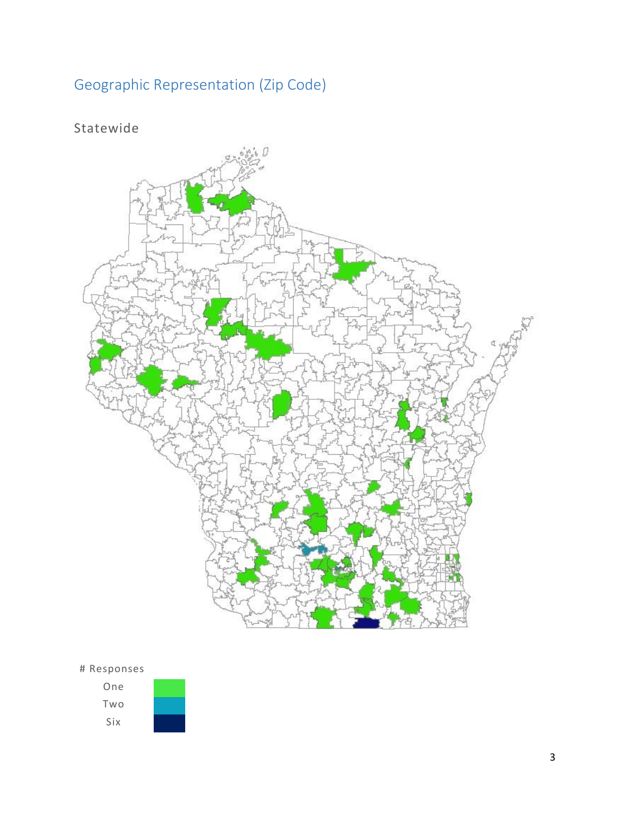# Geographic Representation (Zip Code)

## Statewide